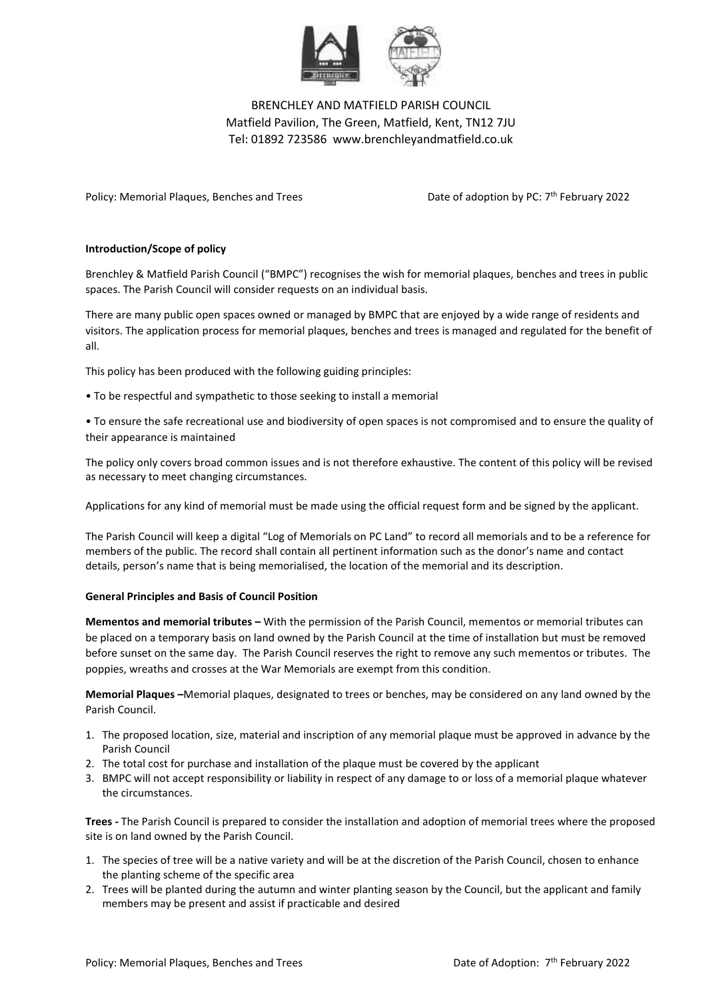

# BRENCHLEY AND MATFIELD PARISH COUNCIL Matfield Pavilion, The Green, Matfield, Kent, TN12 7JU Tel: 01892 723586 www.brenchleyandmatfield.co.uk

Policy: Memorial Plaques, Benches and Trees Date of adoption by PC: 7<sup>th</sup> February 2022

### **Introduction/Scope of policy**

Brenchley & Matfield Parish Council ("BMPC") recognises the wish for memorial plaques, benches and trees in public spaces. The Parish Council will consider requests on an individual basis.

There are many public open spaces owned or managed by BMPC that are enjoyed by a wide range of residents and visitors. The application process for memorial plaques, benches and trees is managed and regulated for the benefit of all.

This policy has been produced with the following guiding principles:

• To be respectful and sympathetic to those seeking to install a memorial

• To ensure the safe recreational use and biodiversity of open spaces is not compromised and to ensure the quality of their appearance is maintained

The policy only covers broad common issues and is not therefore exhaustive. The content of this policy will be revised as necessary to meet changing circumstances.

Applications for any kind of memorial must be made using the official request form and be signed by the applicant.

The Parish Council will keep a digital "Log of Memorials on PC Land" to record all memorials and to be a reference for members of the public. The record shall contain all pertinent information such as the donor's name and contact details, person's name that is being memorialised, the location of the memorial and its description.

### **General Principles and Basis of Council Position**

**Mementos and memorial tributes –** With the permission of the Parish Council, mementos or memorial tributes can be placed on a temporary basis on land owned by the Parish Council at the time of installation but must be removed before sunset on the same day. The Parish Council reserves the right to remove any such mementos or tributes. The poppies, wreaths and crosses at the War Memorials are exempt from this condition.

**Memorial Plaques –**Memorial plaques, designated to trees or benches, may be considered on any land owned by the Parish Council.

- 1. The proposed location, size, material and inscription of any memorial plaque must be approved in advance by the Parish Council
- 2. The total cost for purchase and installation of the plaque must be covered by the applicant
- 3. BMPC will not accept responsibility or liability in respect of any damage to or loss of a memorial plaque whatever the circumstances.

**Trees -** The Parish Council is prepared to consider the installation and adoption of memorial trees where the proposed site is on land owned by the Parish Council.

- 1. The species of tree will be a native variety and will be at the discretion of the Parish Council, chosen to enhance the planting scheme of the specific area
- 2. Trees will be planted during the autumn and winter planting season by the Council, but the applicant and family members may be present and assist if practicable and desired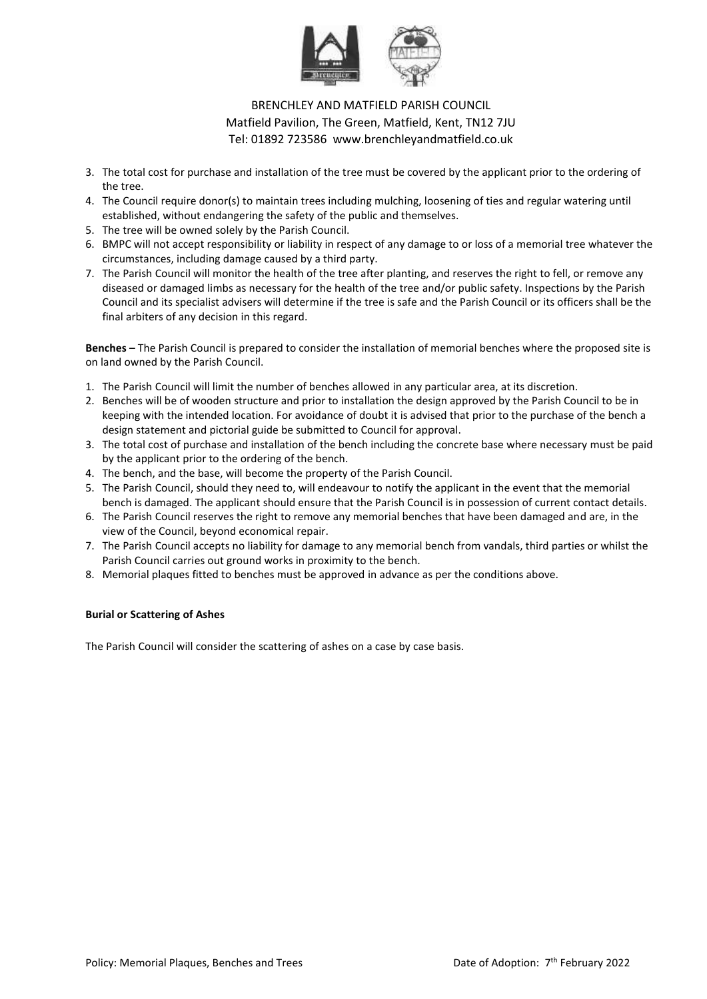

# BRENCHLEY AND MATFIELD PARISH COUNCIL Matfield Pavilion, The Green, Matfield, Kent, TN12 7JU Tel: 01892 723586 www.brenchleyandmatfield.co.uk

- 3. The total cost for purchase and installation of the tree must be covered by the applicant prior to the ordering of the tree.
- 4. The Council require donor(s) to maintain trees including mulching, loosening of ties and regular watering until established, without endangering the safety of the public and themselves.
- 5. The tree will be owned solely by the Parish Council.
- 6. BMPC will not accept responsibility or liability in respect of any damage to or loss of a memorial tree whatever the circumstances, including damage caused by a third party.
- 7. The Parish Council will monitor the health of the tree after planting, and reserves the right to fell, or remove any diseased or damaged limbs as necessary for the health of the tree and/or public safety. Inspections by the Parish Council and its specialist advisers will determine if the tree is safe and the Parish Council or its officers shall be the final arbiters of any decision in this regard.

**Benches –** The Parish Council is prepared to consider the installation of memorial benches where the proposed site is on land owned by the Parish Council.

- 1. The Parish Council will limit the number of benches allowed in any particular area, at its discretion.
- 2. Benches will be of wooden structure and prior to installation the design approved by the Parish Council to be in keeping with the intended location. For avoidance of doubt it is advised that prior to the purchase of the bench a design statement and pictorial guide be submitted to Council for approval.
- 3. The total cost of purchase and installation of the bench including the concrete base where necessary must be paid by the applicant prior to the ordering of the bench.
- 4. The bench, and the base, will become the property of the Parish Council.
- 5. The Parish Council, should they need to, will endeavour to notify the applicant in the event that the memorial bench is damaged. The applicant should ensure that the Parish Council is in possession of current contact details.
- 6. The Parish Council reserves the right to remove any memorial benches that have been damaged and are, in the view of the Council, beyond economical repair.
- 7. The Parish Council accepts no liability for damage to any memorial bench from vandals, third parties or whilst the Parish Council carries out ground works in proximity to the bench.
- 8. Memorial plaques fitted to benches must be approved in advance as per the conditions above.

### **Burial or Scattering of Ashes**

The Parish Council will consider the scattering of ashes on a case by case basis.